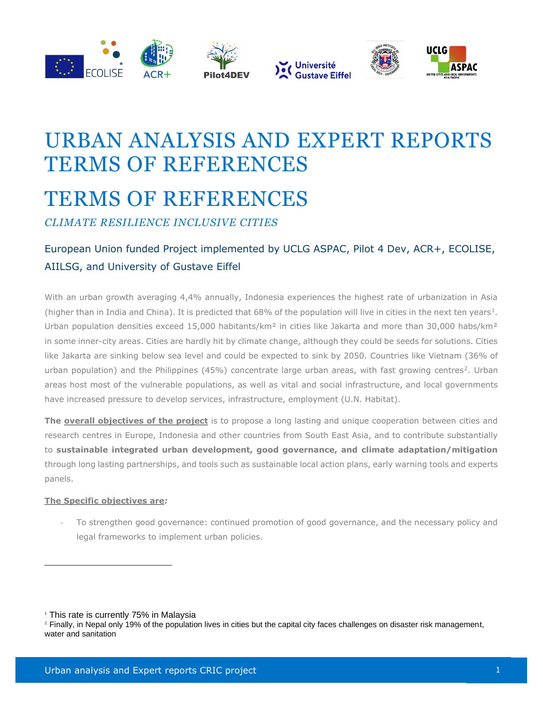







# URBAN ANALYSIS AND EXPERT REPORTS TERMS OF REFERENCES TERMS OF REFERENCES

*CLIMATE RESILIENCE INCLUSIVE CITIES*

## European Union funded Project implemented by UCLG ASPAC, Pilot 4 Dev, ACR+, ECOLISE, AIILSG, and University of Gustave Eiffel

With an urban growth averaging 4,4% annually, Indonesia experiences the highest rate of urbanization in Asia (higher than in India and China). It is predicted that  $68%$  of the population will live in cities in the next ten years<sup>1</sup>. Urban population densities exceed 15,000 habitants/km<sup>2</sup> in cities like Jakarta and more than 30,000 habs/km<sup>2</sup> in some inner-city areas. Cities are hardly hit by climate change, although they could be seeds for solutions. Cities like Jakarta are sinking below sea level and could be expected to sink by 2050. Countries like Vietnam (36% of urban population) and the Philippines (45%) concentrate large urban areas, with fast growing centres<sup>2</sup>. Urban areas host most of the vulnerable populations, as well as vital and social infrastructure, and local governments have increased pressure to develop services, infrastructure, employment (U.N. Habitat).

**The overall objectives of the project** is to propose a long lasting and unique cooperation between cities and research centres in Europe, Indonesia and other countries from South East Asia, and to contribute substantially to **sustainable integrated urban development, good governance, and climate adaptation/mitigation** through long lasting partnerships, and tools such as sustainable local action plans, early warning tools and experts panels.

### **The Specific objectives are***:*

To strengthen good governance: continued promotion of good governance, and the necessary policy and legal frameworks to implement urban policies.

<sup>1</sup> This rate is currently 75% in Malaysia

<sup>&</sup>lt;sup>2</sup> Finally, in Nepal only 19% of the population lives in cities but the capital city faces challenges on disaster risk management, water and sanitation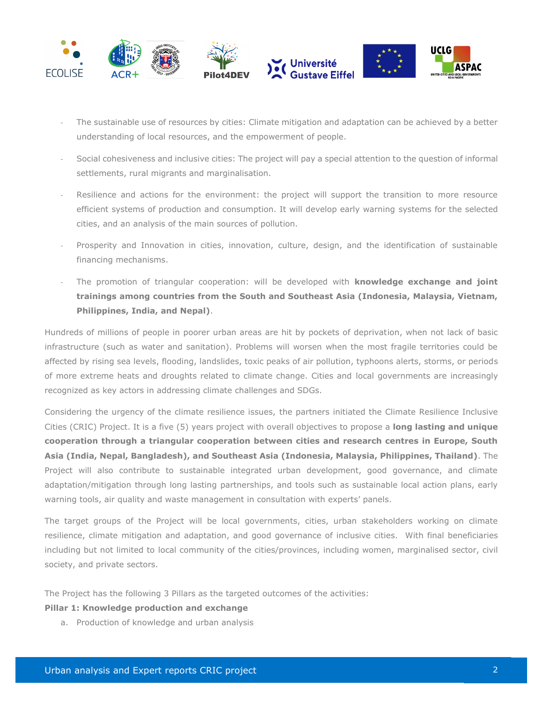

- The sustainable use of resources by cities: Climate mitigation and adaptation can be achieved by a better understanding of local resources, and the empowerment of people.
- Social cohesiveness and inclusive cities: The project will pay a special attention to the question of informal settlements, rural migrants and marginalisation.
- Resilience and actions for the environment: the project will support the transition to more resource efficient systems of production and consumption. It will develop early warning systems for the selected cities, and an analysis of the main sources of pollution.
- Prosperity and Innovation in cities, innovation, culture, design, and the identification of sustainable financing mechanisms.
- The promotion of triangular cooperation: will be developed with **knowledge exchange and joint trainings among countries from the South and Southeast Asia (Indonesia, Malaysia, Vietnam, Philippines, India, and Nepal)**.

Hundreds of millions of people in poorer urban areas are hit by pockets of deprivation, when not lack of basic infrastructure (such as water and sanitation). Problems will worsen when the most fragile territories could be affected by rising sea levels, flooding, landslides, toxic peaks of air pollution, typhoons alerts, storms, or periods of more extreme heats and droughts related to climate change. Cities and local governments are increasingly recognized as key actors in addressing climate challenges and SDGs.

Considering the urgency of the climate resilience issues, the partners initiated the Climate Resilience Inclusive Cities (CRIC) Project. It is a five (5) years project with overall objectives to propose a **long lasting and unique cooperation through a triangular cooperation between cities and research centres in Europe, South Asia (India, Nepal, Bangladesh), and Southeast Asia (Indonesia, Malaysia, Philippines, Thailand)**. The Project will also contribute to sustainable integrated urban development, good governance, and climate adaptation/mitigation through long lasting partnerships, and tools such as sustainable local action plans, early warning tools, air quality and waste management in consultation with experts' panels.

The target groups of the Project will be local governments, cities, urban stakeholders working on climate resilience, climate mitigation and adaptation, and good governance of inclusive cities. With final beneficiaries including but not limited to local community of the cities/provinces, including women, marginalised sector, civil society, and private sectors.

The Project has the following 3 Pillars as the targeted outcomes of the activities:

#### **Pillar 1: Knowledge production and exchange**

a. Production of knowledge and urban analysis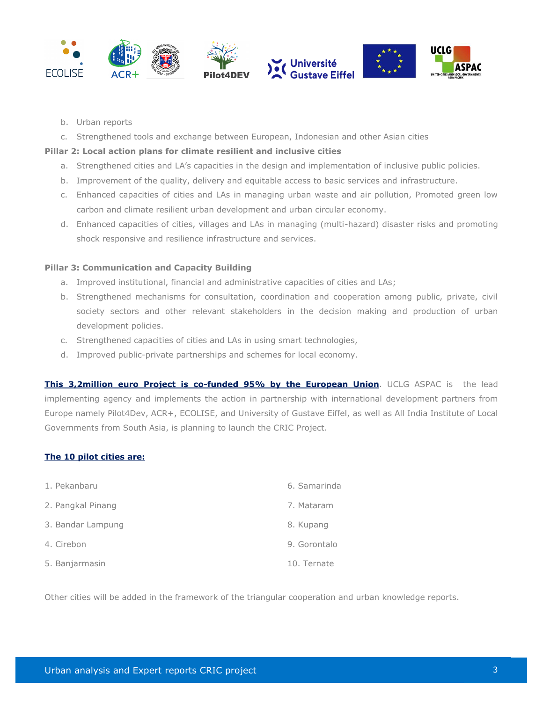

- b. Urban reports
- c. Strengthened tools and exchange between European, Indonesian and other Asian cities

#### **Pillar 2: Local action plans for climate resilient and inclusive cities**

- a. Strengthened cities and LA's capacities in the design and implementation of inclusive public policies.
- b. Improvement of the quality, delivery and equitable access to basic services and infrastructure.
- c. Enhanced capacities of cities and LAs in managing urban waste and air pollution, Promoted green low carbon and climate resilient urban development and urban circular economy.
- d. Enhanced capacities of cities, villages and LAs in managing (multi-hazard) disaster risks and promoting shock responsive and resilience infrastructure and services.

#### **Pillar 3: Communication and Capacity Building**

- a. Improved institutional, financial and administrative capacities of cities and LAs;
- b. Strengthened mechanisms for consultation, coordination and cooperation among public, private, civil society sectors and other relevant stakeholders in the decision making and production of urban development policies.
- c. Strengthened capacities of cities and LAs in using smart technologies,
- d. Improved public-private partnerships and schemes for local economy.

**This 3,2million euro Project is co-funded 95% by the European Union**. UCLG ASPAC is the lead implementing agency and implements the action in partnership with international development partners from Europe namely Pilot4Dev, ACR+, ECOLISE, and University of Gustave Eiffel, as well as All India Institute of Local Governments from South Asia, is planning to launch the CRIC Project.

#### **The 10 pilot cities are:**

| 1. Pekanbaru      | 6. Samarinda |
|-------------------|--------------|
| 2. Pangkal Pinang | 7. Mataram   |
| 3. Bandar Lampung | 8. Kupang    |
| 4. Cirebon        | 9. Gorontalo |
| 5. Banjarmasin    | 10. Ternate  |

Other cities will be added in the framework of the triangular cooperation and urban knowledge reports.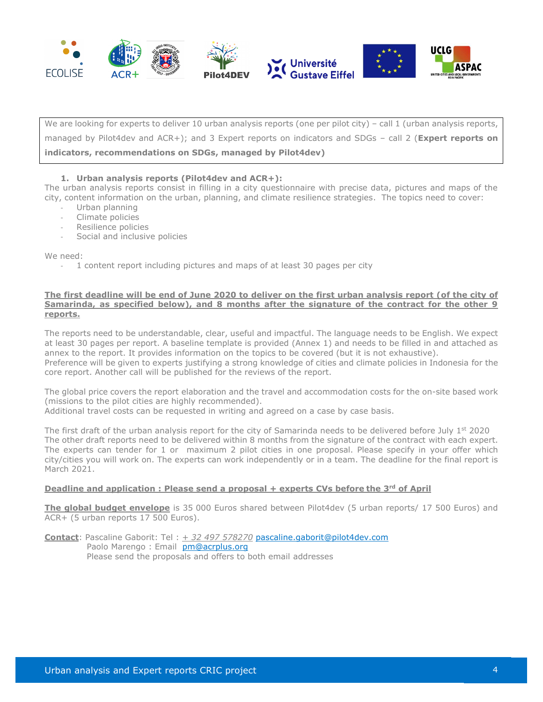

We are looking for experts to deliver 10 urban analysis reports (one per pilot city) – call 1 (urban analysis reports, managed by Pilot4dev and ACR+); and 3 Expert reports on indicators and SDGs – call 2 (**Expert reports on indicators, recommendations on SDGs, managed by Pilot4dev)**

#### **1. Urban analysis reports (Pilot4dev and ACR+):**

The urban analysis reports consist in filling in a city questionnaire with precise data, pictures and maps of the city, content information on the urban, planning, and climate resilience strategies. The topics need to cover:

- Urban planning
- Climate policies
- Resilience policies
- Social and inclusive policies

We need:

- 1 content report including pictures and maps of at least 30 pages per city

#### **The first deadline will be end of June 2020 to deliver on the first urban analysis report (of the city of Samarinda, as specified below), and 8 months after the signature of the contract for the other 9 reports.**

The reports need to be understandable, clear, useful and impactful. The language needs to be English. We expect at least 30 pages per report. A baseline template is provided (Annex 1) and needs to be filled in and attached as annex to the report. It provides information on the topics to be covered (but it is not exhaustive). Preference will be given to experts justifying a strong knowledge of cities and climate policies in Indonesia for the core report. Another call will be published for the reviews of the report.

The global price covers the report elaboration and the travel and accommodation costs for the on-site based work (missions to the pilot cities are highly recommended).

Additional travel costs can be requested in writing and agreed on a case by case basis.

The first draft of the urban analysis report for the city of Samarinda needs to be delivered before July  $1^{st}$  2020 The other draft reports need to be delivered within 8 months from the signature of the contract with each expert. The experts can tender for 1 or maximum 2 pilot cities in one proposal. Please specify in your offer which city/cities you will work on. The experts can work independently or in a team. The deadline for the final report is March 2021.

#### **Deadline and application : Please send a proposal + experts CVs before the 3rd of April**

**The global budget envelope** is 35 000 Euros shared between Pilot4dev (5 urban reports/ 17 500 Euros) and ACR+ (5 urban reports 17 500 Euros).

**Contact**: Pascaline Gaborit: Tel : *+ 32 497 578270* [pascaline.gaborit@pilot4dev.com](mailto:pascaline.gaborit@pilot4dev.com) Paolo Marengo : Email [pm@acrplus.org](mailto:pm@acrplus.org) Please send the proposals and offers to both email addresses